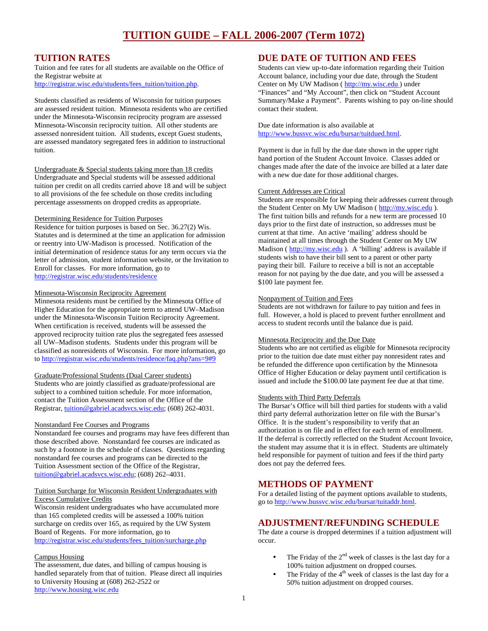## **TUITION RATES**

Tuition and fee rates for all students are available on the Office of the Registrar website at http://registrar.wisc.edu/students/fees\_tuition/tuition.php.

Students classified as residents of Wisconsin for tuition purposes are assessed resident tuition. Minnesota residents who are certified under the Minnesota-Wisconsin reciprocity program are assessed Minnesota-Wisconsin reciprocity tuition. All other students are assessed nonresident tuition. All students, except Guest students, are assessed mandatory segregated fees in addition to instructional tuition.

Undergraduate & Special students taking more than 18 credits Undergraduate and Special students will be assessed additional tuition per credit on all credits carried above 18 and will be subject to all provisions of the fee schedule on those credits including percentage assessments on dropped credits as appropriate.

#### Determining Residence for Tuition Purposes

Residence for tuition purposes is based on Sec. 36.27(2) Wis. Statutes and is determined at the time an application for admission or reentry into UW-Madison is processed. Notification of the initial determination of residence status for any term occurs via the letter of admission, student information website, or the Invitation to Enroll for classes. For more information, go to http://registrar.wisc.edu/students/residence

#### Minnesota-Wisconsin Reciprocity Agreement

Minnesota residents must be certified by the Minnesota Office of Higher Education for the appropriate term to attend UW–Madison under the Minnesota-Wisconsin Tuition Reciprocity Agreement. When certification is received, students will be assessed the approved reciprocity tuition rate plus the segregated fees assessed all UW–Madison students. Students under this program will be classified as nonresidents of Wisconsin. For more information, go to http://registrar.wisc.edu/students/residence/faq.php?ans=9#9

#### Graduate/Professional Students (Dual Career students)

Students who are jointly classified as graduate/professional are subject to a combined tuition schedule. For more information, contact the Tuition Assessment section of the Office of the Registrar, tuition@gabriel.acadsvcs.wisc.edu; (608) 262-4031.

#### Nonstandard Fee Courses and Programs

Nonstandard fee courses and programs may have fees different than those described above. Nonstandard fee courses are indicated as such by a footnote in the schedule of classes. Questions regarding nonstandard fee courses and programs can be directed to the Tuition Assessment section of the Office of the Registrar, tuition@gabriel.acadsvcs.wisc.edu; (608) 262–4031.

#### Tuition Surcharge for Wisconsin Resident Undergraduates with Excess Cumulative Credits

Wisconsin resident undergraduates who have accumulated more than 165 completed credits will be assessed a 100% tuition surcharge on credits over 165, as required by the UW System Board of Regents. For more information, go to http://registrar.wisc.edu/students/fees\_tuition/surcharge.php

#### Campus Housing

The assessment, due dates, and billing of campus housing is handled separately from that of tuition. Please direct all inquiries to University Housing at (608) 262-2522 or http://www.housing.wisc.edu

### **DUE DATE OF TUITION AND FEES**

Students can view up-to-date information regarding their Tuition Account balance, including your due date, through the Student Center on My UW Madison ( http://my.wisc.edu ) under "Finances" and "My Account", then click on "Student Account Summary/Make a Payment". Parents wishing to pay on-line should contact their student.

Due date information is also available at http://www.bussvc.wisc.edu/bursar/tuitdued.html.

Payment is due in full by the due date shown in the upper right hand portion of the Student Account Invoice. Classes added or changes made after the date of the invoice are billed at a later date with a new due date for those additional charges.

#### Current Addresses are Critical

Students are responsible for keeping their addresses current through the Student Center on My UW Madison ( http://my.wisc.edu ). The first tuition bills and refunds for a new term are processed 10 days prior to the first date of instruction, so addresses must be current at that time. An active 'mailing' address should be maintained at all times through the Student Center on My UW Madison (http://my.wisc.edu ). A 'billing' address is available if students wish to have their bill sent to a parent or other party paying their bill. Failure to receive a bill is not an acceptable reason for not paying by the due date, and you will be assessed a \$100 late payment fee.

#### Nonpayment of Tuition and Fees

Students are not withdrawn for failure to pay tuition and fees in full. However, a hold is placed to prevent further enrollment and access to student records until the balance due is paid.

#### Minnesota Reciprocity and the Due Date

Students who are not certified as eligible for Minnesota reciprocity prior to the tuition due date must either pay nonresident rates and be refunded the difference upon certification by the Minnesota Office of Higher Education or delay payment until certification is issued and include the \$100.00 late payment fee due at that time.

#### Students with Third Party Deferrals

The Bursar's Office will bill third parties for students with a valid third party deferral authorization letter on file with the Bursar's Office. It is the student's responsibility to verify that an authorization is on file and in effect for each term of enrollment. If the deferral is correctly reflected on the Student Account Invoice, the student may assume that it is in effect. Students are ultimately held responsible for payment of tuition and fees if the third party does not pay the deferred fees.

# **METHODS OF PAYMENT**

For a detailed listing of the payment options available to students, go to http://www.bussvc.wisc.edu/bursar/tuitaddr.html.

### **ADJUSTMENT/REFUNDING SCHEDULE**

The date a course is dropped determines if a tuition adjustment will occur.

- The Friday of the  $2<sup>nd</sup>$  week of classes is the last day for a 100% tuition adjustment on dropped courses.
- The Friday of the  $4<sup>th</sup>$  week of classes is the last day for a 50% tuition adjustment on dropped courses.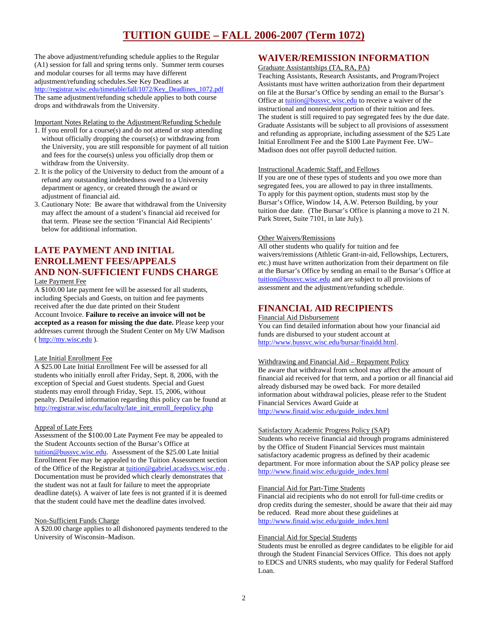# **TUITION GUIDE – FALL 2006-2007 (Term 1072)**

The above adjustment/refunding schedule applies to the Regular (A1) session for fall and spring terms only. Summer term courses and modular courses for all terms may have different adjustment/refunding schedules.See Key Deadlines at http://registrar.wisc.edu/timetable/fall/1072/Key\_Deadlines\_1072.pdf The same adjustment/refunding schedule applies to both course drops and withdrawals from the University.

Important Notes Relating to the Adjustment/Refunding Schedule

- 1. If you enroll for a course(s) and do not attend or stop attending without officially dropping the course(s) or withdrawing from the University, you are still responsible for payment of all tuition and fees for the course(s) unless you officially drop them or withdraw from the University.
- 2. It is the policy of the University to deduct from the amount of a refund any outstanding indebtedness owed to a University department or agency, or created through the award or adjustment of financial aid.
- 3. Cautionary Note: Be aware that withdrawal from the University may affect the amount of a student's financial aid received for that term. Please see the section 'Financial Aid Recipients' below for additional information.

### **LATE PAYMENT AND INITIAL ENROLLMENT FEES/APPEALS AND NON-SUFFICIENT FUNDS CHARGE**  Late Payment Fee

A \$100.00 late payment fee will be assessed for all students, including Specials and Guests, on tuition and fee payments received after the due date printed on their Student Account Invoice. **Failure to receive an invoice will not be accepted as a reason for missing the due date.** Please keep your addresses current through the Student Center on My UW Madison ( http://my.wisc.edu ).

#### Late Initial Enrollment Fee

A \$25.00 Late Initial Enrollment Fee will be assessed for all students who initially enroll after Friday, Sept. 8, 2006, with the exception of Special and Guest students. Special and Guest students may enroll through Friday, Sept. 15, 2006, without penalty. Detailed information regarding this policy can be found at http://registrar.wisc.edu/faculty/late\_init\_enroll\_feepolicy.php

#### Appeal of Late Fees

Assessment of the \$100.00 Late Payment Fee may be appealed to the Student Accounts section of the Bursar's Office at tuition@bussvc.wisc.edu. Assessment of the \$25.00 Late Initial Enrollment Fee may be appealed to the Tuition Assessment section of the Office of the Registrar at tuition@gabriel.acadsvcs.wisc.edu . Documentation must be provided which clearly demonstrates that the student was not at fault for failure to meet the appropriate deadline date(s). A waiver of late fees is not granted if it is deemed that the student could have met the deadline dates involved.

#### Non-Sufficient Funds Charge

A \$20.00 charge applies to all dishonored payments tendered to the University of Wisconsin–Madison.

### **WAIVER/REMISSION INFORMATION**

Graduate Assistantships (TA, RA, PA)

Teaching Assistants, Research Assistants, and Program/Project Assistants must have written authorization from their department on file at the Bursar's Office by sending an email to the Bursar's Office at tuition@bussvc.wisc.edu to receive a waiver of the instructional and nonresident portion of their tuition and fees. The student is still required to pay segregated fees by the due date. Graduate Assistants will be subject to all provisions of assessment and refunding as appropriate, including assessment of the \$25 Late Initial Enrollment Fee and the \$100 Late Payment Fee. UW– Madison does not offer payroll deducted tuition.

#### Instructional Academic Staff, and Fellows

If you are one of these types of students and you owe more than segregated fees, you are allowed to pay in three installments. To apply for this payment option, students must stop by the Bursar's Office, Window 14, A.W. Peterson Building, by your tuition due date. (The Bursar's Office is planning a move to 21 N. Park Street, Suite 7101, in late July).

#### Other Waivers/Remissions

All other students who qualify for tuition and fee waivers/remissions (Athletic Grant-in-aid, Fellowships, Lecturers, etc.) must have written authorization from their department on file at the Bursar's Office by sending an email to the Bursar's Office at tuition@bussvc.wisc.edu and are subject to all provisions of assessment and the adjustment/refunding schedule.

### **FINANCIAL AID RECIPIENTS**

Financial Aid Disbursement You can find detailed information about how your financial aid funds are disbursed to your student account at http://www.bussvc.wisc.edu/bursar/finaidd.html.

#### Withdrawing and Financial Aid – Repayment Policy

Be aware that withdrawal from school may affect the amount of financial aid received for that term, and a portion or all financial aid already disbursed may be owed back. For more detailed information about withdrawal policies, please refer to the Student Financial Services Award Guide at http://www.finaid.wisc.edu/guide\_index.html

#### Satisfactory Academic Progress Policy (SAP)

Students who receive financial aid through programs administered by the Office of Student Financial Services must maintain satisfactory academic progress as defined by their academic department. For more information about the SAP policy please see http://www.finaid.wisc.edu/guide\_index.html

#### Financial Aid for Part-Time Students

Financial aid recipients who do not enroll for full-time credits or drop credits during the semester, should be aware that their aid may be reduced. Read more about these guidelines at http://www.finaid.wisc.edu/guide\_index.html

#### Financial Aid for Special Students

Students must be enrolled as degree candidates to be eligible for aid through the Student Financial Services Office. This does not apply to EDCS and UNRS students, who may qualify for Federal Stafford Loan.